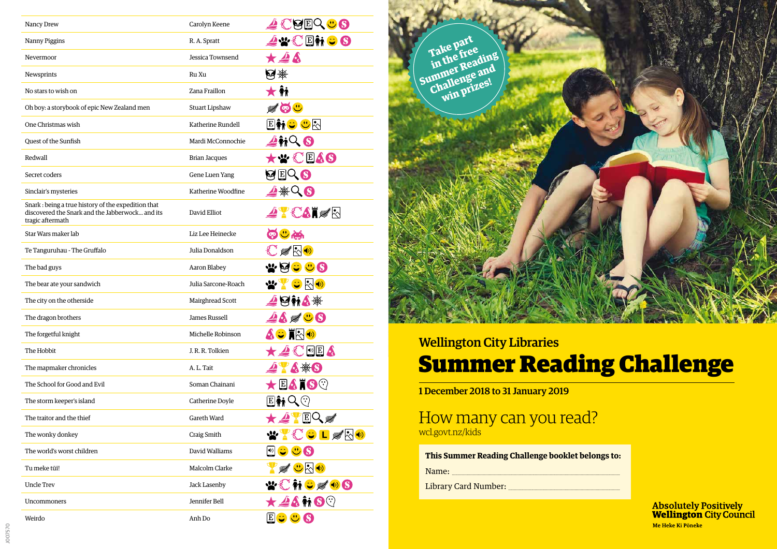| Nancy Drew                                                                                                                | Carolyn Keene         | $\blacktriangle$ $\mathbb{C}$ reeq $\mathbb{C}$ c                                                                                    |
|---------------------------------------------------------------------------------------------------------------------------|-----------------------|--------------------------------------------------------------------------------------------------------------------------------------|
| Nanny Piggins                                                                                                             | R. A. Spratt          | $\Delta$ Y $\mathbb C$ $\mathbb H$ in $\mathbb C$                                                                                    |
| Nevermoor                                                                                                                 | Jessica Townsend      | $\star 44$                                                                                                                           |
| Newsprints                                                                                                                | Ru Xu                 | 内安                                                                                                                                   |
| No stars to wish on                                                                                                       | Zana Fraillon         | $\bigstar$ in                                                                                                                        |
| Oh boy: a storybook of epic New Zealand men                                                                               | <b>Stuart Lipshaw</b> | ぼめい                                                                                                                                  |
| One Christmas wish                                                                                                        | Katherine Rundell     | LIM Û Û                                                                                                                              |
| Quest of the Sunfish                                                                                                      | Mardi McConnochie     | $\mathbf{2}$ ii $\mathbf{Q}$ $\mathbf{S}$                                                                                            |
| Redwall                                                                                                                   | Brian Jacques         | <b>Y CEAO</b>                                                                                                                        |
| Secret coders                                                                                                             | Gene Luen Yang        | <b>AEG C</b>                                                                                                                         |
| Sinclair's mysteries                                                                                                      | Katherine Woodfine    | Q ⊕Q G                                                                                                                               |
| Snark: being a true history of the expedition that<br>discovered the Snark and the Jabberwock and its<br>tragic aftermath | David Elliot          | 4Y CAT KR                                                                                                                            |
| Star Wars maker lab                                                                                                       | Liz Lee Heinecke      | <b>Ø0m</b>                                                                                                                           |
| Te Tanguruhau - The Gruffalo                                                                                              | Julia Donaldson       | 《原之史                                                                                                                                 |
| The bad guys                                                                                                              | Aaron Blabey          | 쌓던 8 G                                                                                                                               |
| The bear ate your sandwich                                                                                                | Julia Sarcone-Roach   | $\mathbf{C}$ $\mathbb{N}$ $\mathbf{0}$                                                                                               |
| The city on the otherside                                                                                                 | Mairghread Scott      | ◢◙前ል₩                                                                                                                                |
| The dragon brothers                                                                                                       | James Russell         | <b>AAKCO</b>                                                                                                                         |
| The forgetful knight                                                                                                      | Michelle Robinson     | <b>AC ∏</b> ⊠®                                                                                                                       |
| The Hobbit                                                                                                                | J. R. R. Tolkien      | $\bigstar\mathscr{Q}$ of a                                                                                                           |
| The mapmaker chronicles                                                                                                   | A.L. Tait             | $2^{\mathrm{cp}}$<br>ASO                                                                                                             |
| The School for Good and Evil                                                                                              | Soman Chainani        | ★▣&₩®♡                                                                                                                               |
| The storm keeper's island                                                                                                 | Catherine Doyle       | $\langle \cdot \rangle$<br>EÏ₩                                                                                                       |
| The traitor and the thief                                                                                                 | Gareth Ward           | EQ<br>$\star 2$ ?                                                                                                                    |
| The wonky donkey                                                                                                          | Craig Smith           | ₩¥€●L <b>W</b> ⊠●                                                                                                                    |
| The world's worst children                                                                                                | David Walliams        | $\textcolor{red}{\blacksquare} \textcolor{red}{\bullet} \textcolor{red}{\bullet} \textcolor{red}{\bullet} \textcolor{blue}{\bullet}$ |
| Tu meke tūī!                                                                                                              | Malcolm Clarke        | <b>それの空気も</b>                                                                                                                        |
| <b>Uncle Trev</b>                                                                                                         | Jack Lasenby          | W€moro                                                                                                                               |
| Uncommoners                                                                                                               | Jennifer Bell         | $\star$ 26 M O $^\circ$                                                                                                              |
| Weirdo                                                                                                                    | Anh Do                | $E$ . $O$                                                                                                                            |



# Wellington City Libraries Summer Reading Challenge

1 December 2018 to 31 January 2019

## How many can you read? wcl.govt.nz/kids

#### **This Summer Reading Challenge booklet belongs to:**

Name: **.........** 

Library Card Number: .................................................................................................

Absolutely Positively<br>**Wellington** City Council Me Heke Ki Pôneke